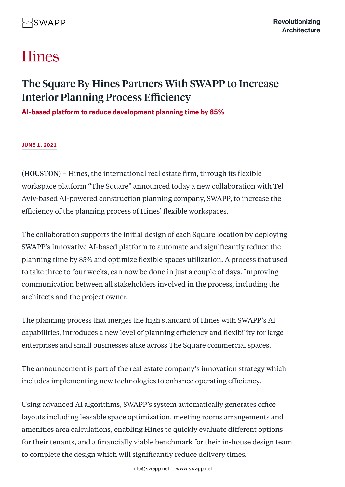# **Hines**

## The Square By Hines Partners With SWAPP to Increase Interior Planning Process Efficiency

**AI-based platform to reduce development planning time by 85%**

#### **[JUNE 1, 2021](https://www.hines.com/news/category/press-releases?year=2021)**

(HOUSTON) – Hines, the international real estate firm, through its flexible workspace platform "The Square" announced today a new collaboration with Tel Aviv-based AI-powered construction planning company, SWAPP, to increase the efficiency of the planning process of Hines' flexible workspaces.

The collaboration supports the initial design of each Square location by deploying SWAPP's innovative AI-based platform to automate and significantly reduce the planning time by 85% and optimize flexible spaces utilization. A process that used to take three to four weeks, can now be done in just a couple of days. Improving communication between all stakeholders involved in the process, including the architects and the project owner.

The planning process that merges the high standard of Hines with SWAPP's AI capabilities, introduces a new level of planning efficiency and flexibility for large enterprises and small businesses alike across The Square commercial spaces.

The announcement is part of the real estate company's innovation strategy which includes implementing new technologies to enhance operating efficiency.

Using advanced AI algorithms, SWAPP's system automatically generates office layouts including leasable space optimization, meeting rooms arrangements and amenities area calculations, enabling Hines to quickly evaluate different options for their tenants, and a financially viable benchmark for their in-house design team to complete the design which will significantly reduce delivery times.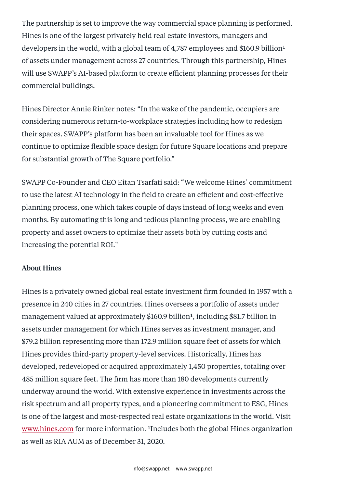The partnership is set to improve the way commercial space planning is performed. Hines is one of the largest privately held real estate investors, managers and developers in the world, with a global team of  $4,787$  employees and \$160.9 billion<sup>1</sup> of assets under management across 27 countries. Through this partnership, Hines will use SWAPP's AI-based platform to create efficient planning processes for their commercial buildings.

Hines Director Annie Rinker notes: "In the wake of the pandemic, occupiers are considering numerous return-to-workplace strategies including how to redesign their spaces. SWAPP's platform has been an invaluable tool for Hines as we continue to optimize flexible space design for future Square locations and prepare for substantial growth of The Square portfolio."

SWAPP Co-Founder and CEO Eitan Tsarfati said: "We welcome Hines' commitment to use the latest AI technology in the field to create an efficient and cost-effective planning process, one which takes couple of days instead of long weeks and even months. By automating this long and tedious planning process, we are enabling property and asset owners to optimize their assets both by cutting costs and increasing the potential ROI."

### About Hines

Hines is a privately owned global real estate investment firm founded in 1957 with a presence in 240 cities in 27 countries. Hines oversees a portfolio of assets under management valued at approximately \$160.9 billion<sup>1</sup>, including \$81.7 billion in assets under management for which Hines serves as investment manager, and \$79.2 billion representing more than 172.9 million square feet of assets for which Hines provides third-party property-level services. Historically, Hines has developed, redeveloped or acquired approximately 1,450 properties, totaling over 485 million square feet. The firm has more than 180 developments currently underway around the world. With extensive experience in investments across the risk spectrum and all property types, and a pioneering commitment to ESG, Hines is one of the largest and most-respected real estate organizations in the world. Visit [www.hines.com](https://www.hines.com/) for more information. <sup>1</sup>Includes both the global Hines organization as well as RIA AUM as of December 31, 2020.